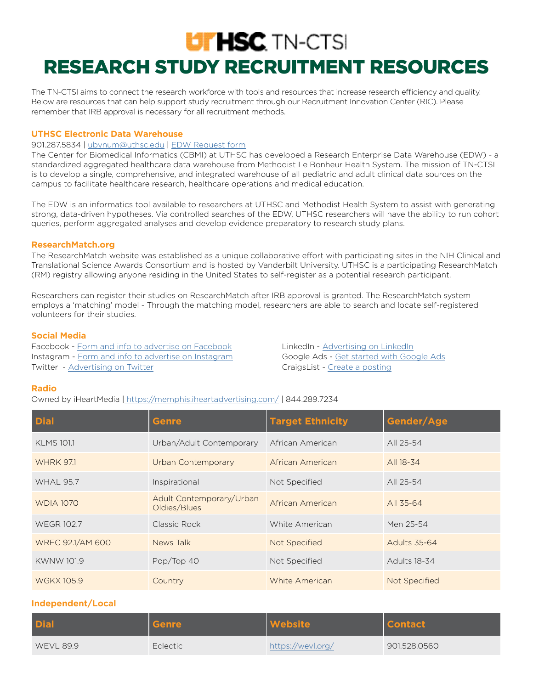# **UTHSC** TN-CTS RESEARCH STUDY RECRUITMENT RESOURCES

The TN-CTSI aims to connect the research workforce with tools and resources that increase research efficiency and quality. Below are resources that can help support study recruitment through our Recruitment Innovation Center (RIC). Please remember that IRB approval is necessary for all recruitment methods.

#### **UTHSC Electronic Data Warehouse**

#### 901.287.5834 | [ubynum@uthsc.edu](http://ubynum@uthsc.edu) | [EDW Request form](https://redcap.uthsc.edu/redcap/surveys/?s=LADY37MEEL )

The Center for Biomedical Informatics (CBMI) at UTHSC has developed a Research Enterprise Data Warehouse (EDW) - a standardized aggregated healthcare data warehouse from Methodist Le Bonheur Health System. The mission of TN-CTSI is to develop a single, comprehensive, and integrated warehouse of all pediatric and adult clinical data sources on the campus to facilitate healthcare research, healthcare operations and medical education.

The EDW is an informatics tool available to researchers at UTHSC and Methodist Health System to assist with generating strong, data-driven hypotheses. Via controlled searches of the EDW, UTHSC researchers will have the ability to run cohort queries, perform aggregated analyses and develop evidence preparatory to research study plans.

#### **[ResearchMatch.org](https://www.researchmatch.org/)**

The ResearchMatch website was established as a unique collaborative effort with participating sites in the NIH Clinical and Translational Science Awards Consortium and is hosted by Vanderbilt University. UTHSC is a participating ResearchMatch (RM) registry allowing anyone residing in the United States to self-register as a potential research participant.

Researchers can register their studies on ResearchMatch after IRB approval is granted. The ResearchMatch system employs a 'matching' model - Through the matching model, researchers are able to search and locate self-registered volunteers for their studies.

#### **Social Media**

Facebook - [Form and info to advertise on Facebook](https://www.facebook.com/business/help/714656935225188?id=802745156580214) LinkedIn - [Advertising on LinkedIn](https://business.linkedin.com/marketing-solutions/cx/17/06/advertise-on-linkedin?trk=sem_lms_gaw&src=go-pa&veh=LMS_NAMER_Core_USCA_Search_Google-Brand_DR-PRS_Broad_HeadTerms-Alpha_All_English_Core_378919961647__advertise%20on%20linkedin_c__kwd-12132967130_6458957165&mcid=6612464045041733652&cname=LMS_NAMER_Core_USCA_Search_Google-Brand_DR-PRS_Broad_HeadTerms-Alpha_All_English_Core&camid=6458957165&asid=77594803896&targetid=kwd-12132967130&crid=378919961647&placement=&dev=c&ends=1&gclid=Cj0KCQiAvbiBBhD-ARIsAGM48byeoPiJ_sWG76Ungu6o6npuf_vyfR9QeU6kV6GxXhmkvHkrmKbC_qkaAjaPEALw_wcB&gclsrc=aw.ds) Instagram - [Form and info to advertise on Instagram](https://www.facebook.com/business/help/793315701035887?id=377090259688020) Google Ads - [Get started with Google Ads](https://support.google.com/google-ads/answer/6146252?hl=en) Twitter - [Advertising on Twitter](https://business.twitter.com/en/advertising.html) Channel CraigsList - [Create a posting](https://post.craigslist.org/k/9s7qWGOD6xGU6-kT-OKc-g/9kOQs?s=type)

#### **Radio**

Owned by iHeartMedia | [h](https://www.iheart.com/live/country/US/city/memphis-tn-209/)ttps://memphis.iheartadvertising.com/ | 844.289.7234

| <b>Dial</b>       | <b>Genre</b>                             | <b>Target Ethnicity</b> | Gender/Age          |
|-------------------|------------------------------------------|-------------------------|---------------------|
| <b>KLMS 101.1</b> | Urban/Adult Contemporary                 | African American        | All 25-54           |
| <b>WHRK 971</b>   | Urban Contemporary                       | African American        | All 18-34           |
| <b>WHAL 95.7</b>  | Inspirational                            | Not Specified           | All 25-54           |
| <b>WDIA 1070</b>  | Adult Contemporary/Urban<br>Oldies/Blues | African American        | All 35-64           |
| <b>WEGR 102.7</b> | Classic Rock                             | White American          | Men 25-54           |
| WREC 92.1/AM 600  | News Talk                                | <b>Not Specified</b>    | <b>Adults 35-64</b> |
| <b>KWNW 101.9</b> | Pop/Top 40                               | Not Specified           | <b>Adults 18-34</b> |
| <b>WGKX 105.9</b> | Country                                  | White American          | Not Specified       |

# **Independent/Local**

| <b>Dial</b>      | Genre    | <b>Website</b>    | Contact      |
|------------------|----------|-------------------|--------------|
| <b>WEVL 89.9</b> | Eclectic | https://wevl.org/ | 901.528.0560 |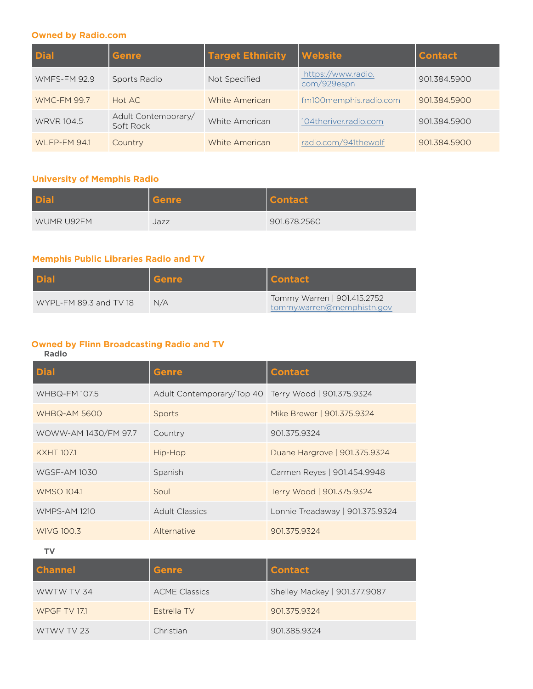#### **Owned by Radio.com**

| <b>Dial</b>         | <b>Genre</b>                     | <b>Target Ethnicity</b> | <b>Website</b>                    | <b>Contact</b> |
|---------------------|----------------------------------|-------------------------|-----------------------------------|----------------|
| <b>WMFS-FM 92.9</b> | Sports Radio                     | Not Specified           | https://www.radio.<br>com/929espn | 901.384.5900   |
| <b>WMC-FM 99.7</b>  | Hot AC                           | White American          | fm100memphis.radio.com            | 901.384.5900   |
| <b>WRVR 104.5</b>   | Adult Contemporary/<br>Soft Rock | White American          | 104theriver.radio.com             | 901.384.5900   |
| WLFP-FM 94.1        | Country                          | White American          | radio.com/941thewolf              | 901.384.5900   |

# **University of Memphis Radio**

| <b>Dial</b> | Genre | <b>Contact</b> |
|-------------|-------|----------------|
| WUMR U92FM  | Jazz  | 901.678.2560   |

# **Memphis Public Libraries Radio and TV**

| <b>Dial</b>            | <b>Genre</b> | <b>Contact</b>                                            |
|------------------------|--------------|-----------------------------------------------------------|
| WYPL-FM 89.3 and TV 18 | N/A          | Tommy Warren   901.415.2752<br>tommy.warren@memphistn.gov |

# **Owned by Flinn Broadcasting Radio and TV**

#### **Radio**

| <b>Dial</b>          | <b>Genre</b>                                        | <b>Contact</b>                  |
|----------------------|-----------------------------------------------------|---------------------------------|
| <b>WHBQ-FM 107.5</b> | Adult Contemporary/Top 40 Terry Wood   901.375.9324 |                                 |
| <b>WHBQ-AM 5600</b>  | Sports                                              | Mike Brewer   901.375.9324      |
| WOWW-AM 1430/FM 97.7 | Country                                             | 901.375.9324                    |
| <b>KXHT 107.1</b>    | Hip-Hop                                             | Duane Hargrove   901.375.9324   |
| <b>WGSF-AM 1030</b>  | Spanish                                             | Carmen Reyes   901.454.9948     |
| <b>WMSO 104.1</b>    | Soul                                                | Terry Wood   901.375.9324       |
| <b>WMPS-AM 1210</b>  | <b>Adult Classics</b>                               | Lonnie Treadaway   901.375.9324 |
| WIVG 100.3           | Alternative                                         | 901.375.9324                    |

**TV**

| <b>Channel</b>      | <b>Genre</b>         | <b>Contact</b>                |
|---------------------|----------------------|-------------------------------|
| WWTW TV 34          | <b>ACME Classics</b> | Shelley Mackey   901.377.9087 |
| <b>WPGF TV 17.1</b> | Estrella TV          | 901.375.9324                  |
| WTWV TV 23          | Christian            | 901.385.9324                  |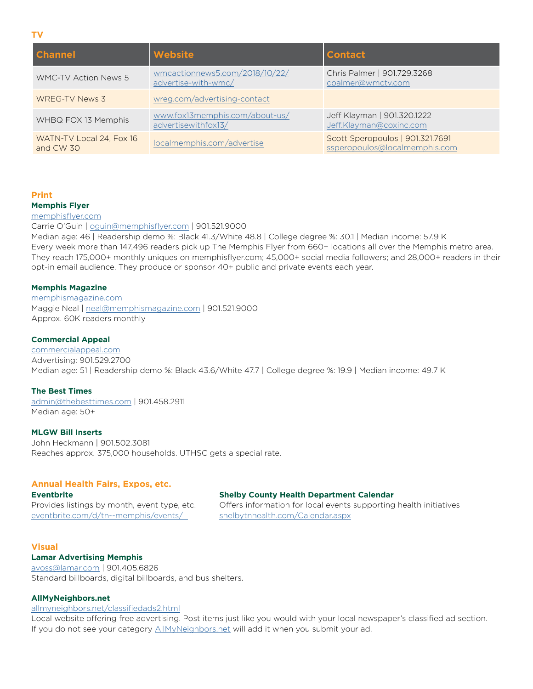**TV**

| <b>Channel</b>                        | <b>Website</b>                                        | <b>Contact</b>                                                    |
|---------------------------------------|-------------------------------------------------------|-------------------------------------------------------------------|
| <b>WMC-TV Action News 5</b>           | wmcactionnews5.com/2018/10/22/<br>advertise-with-wmc/ | Chris Palmer   901.729.3268<br>cpalmer@wmctv.com                  |
| WREG-TV News 3                        | wreg.com/advertising-contact                          |                                                                   |
| WHBQ FOX 13 Memphis                   | www.fox13memphis.com/about-us/<br>advertisewithfox13/ | Jeff Klayman   901.320.1222<br>Jeff.Klayman@coxinc.com            |
| WATN-TV Local 24, Fox 16<br>and CW 30 | localmemphis.com/advertise                            | Scott Speropoulos   901.321.7691<br>ssperopoulos@localmemphis.com |

#### **Print Memphis Flyer**

#### [memphisflyer.com](https://www.memphisflyer.com/)

Carrie O'Guin | [oguin@memphisflyer.com](mailto:oguin%40memphisflyer.com?subject=) | 901.521.9000

Median age: 46 | Readership demo %: Black 41.3/White 48.8 | College degree %: 30.1 | Median income: 57.9 K Every week more than 147,496 readers pick up The Memphis Flyer from 660+ locations all over the Memphis metro area. They reach 175,000+ monthly uniques on memphisflyer.com; 45,000+ social media followers; and 28,000+ readers in their opt-in email audience. They produce or sponsor 40+ public and private events each year.

#### **Memphis Magazine**

[memphismagazine.com](https://memphismagazine.com/) Maggie Neal | [neal@memphismagazine.com](mailto:neal%40memphismagazine.com?subject=) | 901.521.9000 Approx. 60K readers monthly

#### **Commercial Appeal**

[commercialappeal.com](https://www.commercialappeal.com/) Advertising: 901.529.2700 Median age: 51 | Readership demo %: Black 43.6/White 47.7 | College degree %: 19.9 | Median income: 49.7 K

#### **The Best Times**

[admin@thebesttimes.com](mailto:admin%40thebesttimes.com?subject=) | 901.458.2911 Median age: 50+

#### **MLGW Bill Inserts**

John Heckmann | 901.502.3081 Reaches approx. 375,000 households. UTHSC gets a special rate.

#### **Annual Health Fairs, Expos, etc.**

#### **Eventbrite Shelby County Health Department Calendar**

Provides listings by month, event type, etc. Offers information for local events supporting health initiatives [eventbrite.com/d/tn--memphis/events/](https://www.eventbrite.com/d/tn--memphis/events/) [shelbytnhealth.com/Calendar.aspx](https://www.shelbytnhealth.com/Calendar.aspx)

#### **Visual**

# **Lamar Advertising Memphis**

[avoss@lamar.com](mailto:avoss%40lamar.com?subject=) | 901.405.6826 Standard billboards, digital billboards, and bus shelters.

#### **AllMyNeighbors.net**

#### [allmyneighbors.net/classifiedads2.html](http://www.allmyneighbors.net/classifiedads2.html)

Local website offering free advertising. Post items just like you would with your local newspaper's classified ad section. If you do not see your category [AllMyNeighbors.net](http://www.allmyneighbors.net/) will add it when you submit your ad.